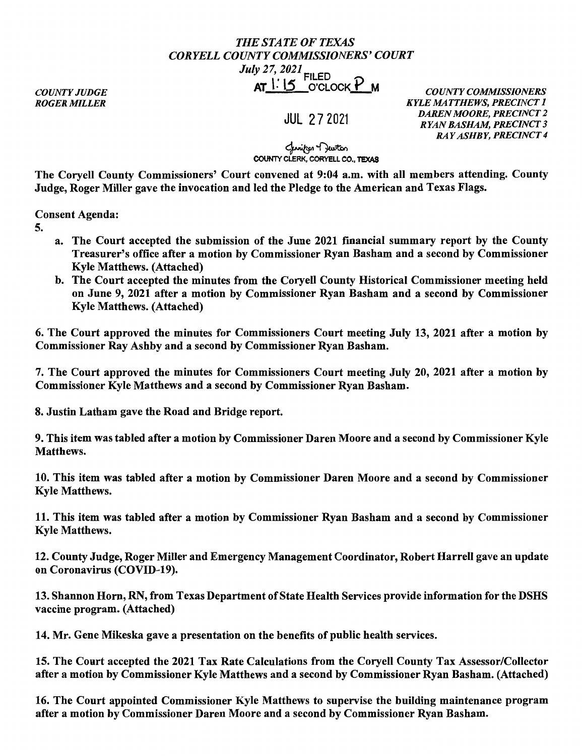## *THE STATE OF TEXAS CORYELLCOUNTYCOMMISSIONERS'COURT July 27, 2021* FILED

## AT l. l5 O'CLOCK p <sup>M</sup>*COUNTY COMMISSIONERS*

*COUNTY JUDGE ROGER MILLER* 

JUL 2 7 2021

*KYLE MATTHEWS, PRECINCT 1 DAREN MOORE, PRECINCT 2 RYAN BASHAM, PRECINCT 3 RAY ASHBY, PRECINCT 4* 

لمسترجم<br>COUNTY CLERK, CORYELL CO., TEXAS

The Coryell County Commissioners' Court convened at 9:04 a.m. with all members attending. County Judge, Roger Miller gave the invocation and led the Pledge to the American and Texas Flags.

Consent Agenda:

- 5.
- a. The Court accepted the submission of the June 2021 financial summary report by the County Treasurer's office after a motion by Commissioner Ryan Basham and a second by Commissioner Kyle Matthews. (Attached)
- b. The Court accepted the minutes from the Coryell County Historical Commissioner meeting held on June 9, 2021 after a motion by Commissioner Ryan Basham and a second by Commissioner Kyle Matthews. (Attached)

6. The Court approved the minutes for Commissioners Court meeting July 13, 2021 after a motion by Commissioner Ray Ashby and a second by Commissioner Ryan Basham.

7. The Court approved the minutes for Commissioners Court meeting July 20, 2021 after a motion by Commissioner Kyle Matthews and a second by Commissioner Ryan Basham.

8. Justin Latham gave the Road and Bridge report.

9. This item was tabled after a motion by Commissioner Daren Moore and a second by Commissioner Kyle Matthews.

10. This item was tabled after a motion by Commissioner Daren Moore and a second by Commissioner Kyle Matthews.

11. This item was tabled after a motion by Commissioner Ryan Basham and a second by Commissioner Kyle Matthews.

12. County Judge, Roger Miller and Emergency Management Coordinator, Robert Harrell gave an update on Coronavirus (COVID-19).

13. Shannon Horn, RN, from Texas Department of State Health Services provide information for the DSHS vaccine program. (Attached)

14. Mr. Gene Mikeska gave a presentation on the benefits of public health services.

15. The Court accepted the 2021 Tax Rate Calculations from the Coryell County Tax Assessor/Collector after a motion by Commissioner Kyle Matthews and a second by Commissioner Ryan Basham. (Attached)

16. The Court appointed Commissioner Kyle Matthews to supervise the building maintenance program after a motion by Commissioner Daren Moore and a second by Commissioner Ryan Basham.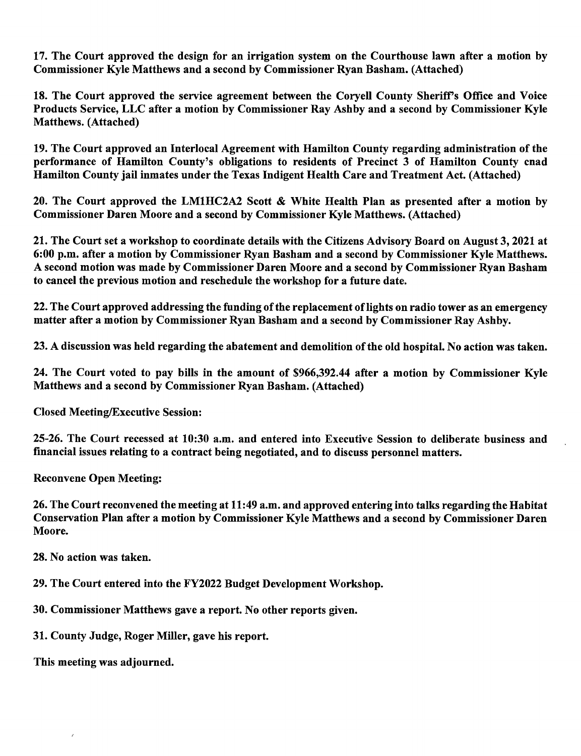17. The Court approved the design for an irrigation system on the Courthouse lawn after a motion by Commissioner Kyle Matthews and a second by Commissioner Ryan Basham. (Attached)

18. The Court approved the service agreement between the Coryell County Sheriff's Office and Voice Products Service, LLC after a motion by Commissioner Ray Ashby and a second by Commissioner Kyle Matthews. (Attached)

19. The Court approved an Interlocal Agreement with Hamilton County regarding administration of the performance of Hamilton County's obligations to residents of Precinct 3 of Hamilton County cnad Hamilton County jail inmates under the Texas Indigent Health Care and Treatment Act. (Attached)

20. The Court approved the LM1HC2A2 Scott & White Health Plan as presented after a motion by Commissioner Daren Moore and a second by Commissioner Kyle Matthews. (Attached)

21. The Court set a workshop to coordinate details with the Citizens Advisory Board on August 3, 2021 at 6:00 p.m. after a motion by Commissioner Ryan Basham and a second by Commissioner Kyle Matthews. A second motion was made by Commissioner Daren Moore and a second by Commissioner Ryan Basham to cancel the previous motion and reschedule the workshop for a future date.

22. The Court approved addressing the funding of the replacement of lights on radio tower as an emergency matter after a motion by Commissioner Ryan Basham and a second by Commissioner Ray Ashby.

23. A discussion was held regarding the abatement and demolition of the old hospital. No action was taken.

24. The Court voted to pay bills in the amount of \$966,392.44 after a motion by Commissioner Kyle Matthews and a second by Commissioner Ryan Basham. (Attached)

Closed Meeting/Executive Session:

25-26. The Court recessed at 10:30 a.m. and entered into Executive Session to deliberate business and financial issues relating to a contract being negotiated, and to discuss personnel matters.

Reconvene Open Meeting:

26. The Court reconvened the meeting at 11 :49 a.m. and approved entering into talks regarding the Habitat Conservation Plan after a motion by Commissioner Kyle Matthews and a second by Commissioner Daren Moore.

28. No action was taken.

29. The Court entered into the FY2022 Budget Development Workshop.

30. Commissioner Matthews gave a report. No other reports given.

31. County Judge, Roger Miller, gave his report.

This meeting was adjourned.